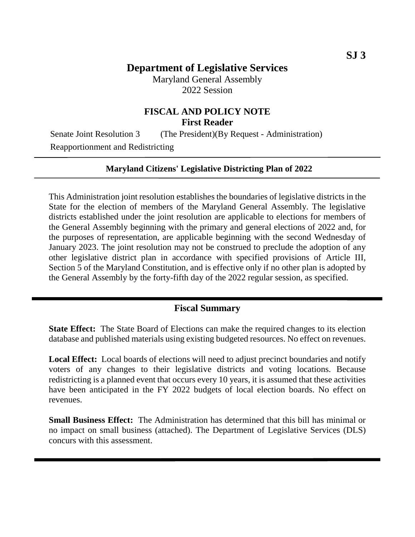# **Department of Legislative Services**

Maryland General Assembly 2022 Session

## **FISCAL AND POLICY NOTE First Reader**

Senate Joint Resolution 3 (The President)(By Request - Administration) Reapportionment and Redistricting

#### **Maryland Citizens' Legislative Districting Plan of 2022**

This Administration joint resolution establishes the boundaries of legislative districts in the State for the election of members of the Maryland General Assembly. The legislative districts established under the joint resolution are applicable to elections for members of the General Assembly beginning with the primary and general elections of 2022 and, for the purposes of representation, are applicable beginning with the second Wednesday of January 2023. The joint resolution may not be construed to preclude the adoption of any other legislative district plan in accordance with specified provisions of Article III, Section 5 of the Maryland Constitution, and is effective only if no other plan is adopted by the General Assembly by the forty-fifth day of the 2022 regular session, as specified.

#### **Fiscal Summary**

**State Effect:** The State Board of Elections can make the required changes to its election database and published materials using existing budgeted resources. No effect on revenues.

**Local Effect:** Local boards of elections will need to adjust precinct boundaries and notify voters of any changes to their legislative districts and voting locations. Because redistricting is a planned event that occurs every 10 years, it is assumed that these activities have been anticipated in the FY 2022 budgets of local election boards. No effect on revenues.

**Small Business Effect:** The Administration has determined that this bill has minimal or no impact on small business (attached). The Department of Legislative Services (DLS) concurs with this assessment.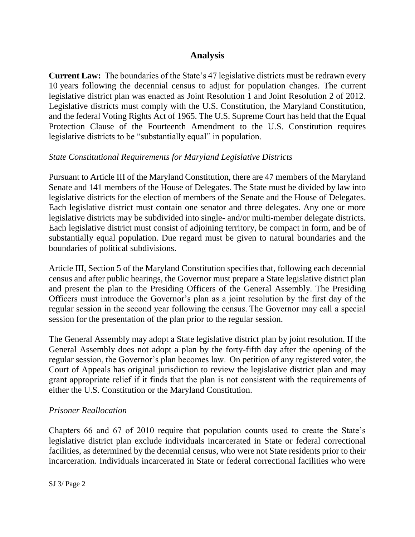## **Analysis**

**Current Law:** The boundaries of the State's 47 legislative districts must be redrawn every 10 years following the decennial census to adjust for population changes. The current legislative district plan was enacted as Joint Resolution 1 and Joint Resolution 2 of 2012. Legislative districts must comply with the U.S. Constitution, the Maryland Constitution, and the federal Voting Rights Act of 1965. The U.S. Supreme Court has held that the Equal Protection Clause of the Fourteenth Amendment to the U.S. Constitution requires legislative districts to be "substantially equal" in population.

### *State Constitutional Requirements for Maryland Legislative Districts*

Pursuant to Article III of the Maryland Constitution, there are 47 members of the Maryland Senate and 141 members of the House of Delegates. The State must be divided by law into legislative districts for the election of members of the Senate and the House of Delegates. Each legislative district must contain one senator and three delegates. Any one or more legislative districts may be subdivided into single- and/or multi-member delegate districts. Each legislative district must consist of adjoining territory, be compact in form, and be of substantially equal population. Due regard must be given to natural boundaries and the boundaries of political subdivisions.

Article III, Section 5 of the Maryland Constitution specifies that, following each decennial census and after public hearings, the Governor must prepare a State legislative district plan and present the plan to the Presiding Officers of the General Assembly. The Presiding Officers must introduce the Governor's plan as a joint resolution by the first day of the regular session in the second year following the census. The Governor may call a special session for the presentation of the plan prior to the regular session.

The General Assembly may adopt a State legislative district plan by joint resolution. If the General Assembly does not adopt a plan by the forty-fifth day after the opening of the regular session, the Governor's plan becomes law.  On petition of any registered voter, the Court of Appeals has original jurisdiction to review the legislative district plan and may grant appropriate relief if it finds that the plan is not consistent with the requirements of either the U.S. Constitution or the Maryland Constitution.

### *Prisoner Reallocation*

Chapters 66 and 67 of 2010 require that population counts used to create the State's legislative district plan exclude individuals incarcerated in State or federal correctional facilities, as determined by the decennial census, who were not State residents prior to their incarceration. Individuals incarcerated in State or federal correctional facilities who were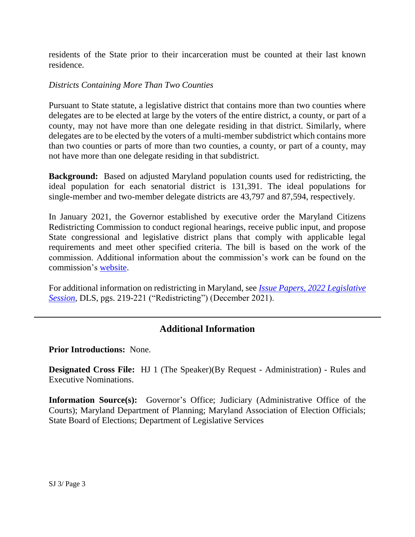residents of the State prior to their incarceration must be counted at their last known residence.

### *Districts Containing More Than Two Counties*

Pursuant to State statute, a legislative district that contains more than two counties where delegates are to be elected at large by the voters of the entire district, a county, or part of a county, may not have more than one delegate residing in that district. Similarly, where delegates are to be elected by the voters of a multi-member subdistrict which contains more than two counties or parts of more than two counties, a county, or part of a county, may not have more than one delegate residing in that subdistrict.

**Background:** Based on adjusted Maryland population counts used for redistricting, the ideal population for each senatorial district is 131,391. The ideal populations for single-member and two-member delegate districts are 43,797 and 87,594, respectively.

In January 2021, the Governor established by executive order the Maryland Citizens Redistricting Commission to conduct regional hearings, receive public input, and propose State congressional and legislative district plans that comply with applicable legal requirements and meet other specified criteria. The bill is based on the work of the commission. Additional information about the commission's work can be found on the commission's [website.](https://redistricting.maryland.gov/Pages/default.aspx)

For additional information on redistricting in Maryland, see *[Issue Papers, 2022 Legislative](http://dls.maryland.gov/pubs/prod/RecurRpt/Issue-Papers-2022-Legislative-Session.pdf)  [Session](http://dls.maryland.gov/pubs/prod/RecurRpt/Issue-Papers-2022-Legislative-Session.pdf)*, DLS, pgs. 219-221 ("Redistricting") (December 2021).

## **Additional Information**

**Prior Introductions:** None.

**Designated Cross File:** HJ 1 (The Speaker)(By Request - Administration) - Rules and Executive Nominations.

**Information Source(s):** Governor's Office; Judiciary (Administrative Office of the Courts); Maryland Department of Planning; Maryland Association of Election Officials; State Board of Elections; Department of Legislative Services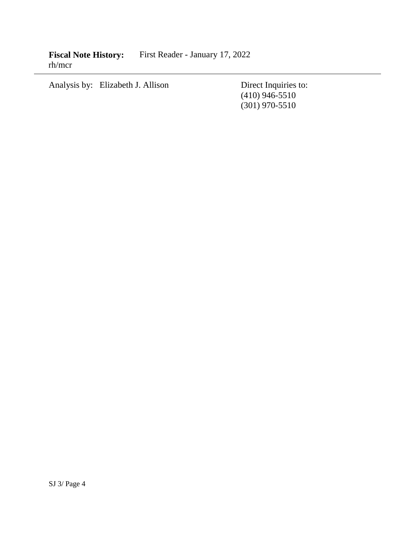**Fiscal Note History:** First Reader - January 17, 2022 rh/mcr

Analysis by: Elizabeth J. Allison Direct Inquiries to:

(410) 946-5510 (301) 970-5510